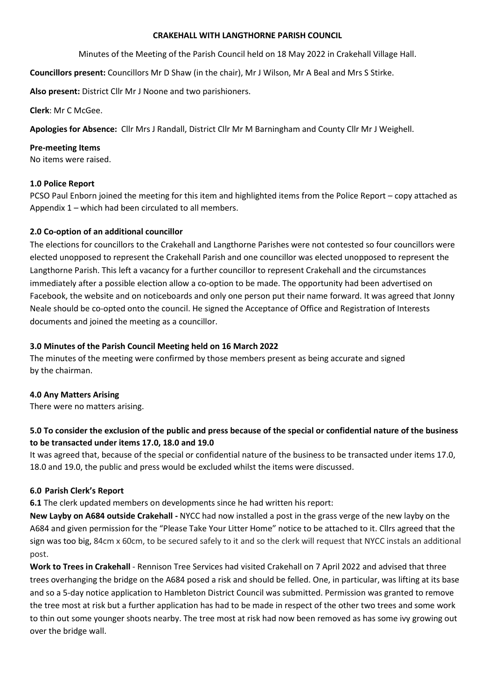#### CRAKEHALL WITH LANGTHORNE PARISH COUNCIL

Minutes of the Meeting of the Parish Council held on 18 May 2022 in Crakehall Village Hall.

Councillors present: Councillors Mr D Shaw (in the chair), Mr J Wilson, Mr A Beal and Mrs S Stirke.

Also present: District Cllr Mr J Noone and two parishioners.

Clerk: Mr C McGee.

Apologies for Absence: Cllr Mrs J Randall, District Cllr Mr M Barningham and County Cllr Mr J Weighell.

#### Pre-meeting Items

No items were raised.

#### 1.0 Police Report

PCSO Paul Enborn joined the meeting for this item and highlighted items from the Police Report – copy attached as Appendix 1 – which had been circulated to all members.

## 2.0 Co-option of an additional councillor

The elections for councillors to the Crakehall and Langthorne Parishes were not contested so four councillors were elected unopposed to represent the Crakehall Parish and one councillor was elected unopposed to represent the Langthorne Parish. This left a vacancy for a further councillor to represent Crakehall and the circumstances immediately after a possible election allow a co-option to be made. The opportunity had been advertised on Facebook, the website and on noticeboards and only one person put their name forward. It was agreed that Jonny Neale should be co-opted onto the council. He signed the Acceptance of Office and Registration of Interests documents and joined the meeting as a councillor.

## 3.0 Minutes of the Parish Council Meeting held on 16 March 2022

The minutes of the meeting were confirmed by those members present as being accurate and signed by the chairman.

## 4.0 Any Matters Arising

There were no matters arising.

# 5.0 To consider the exclusion of the public and press because of the special or confidential nature of the business to be transacted under items 17.0, 18.0 and 19.0

It was agreed that, because of the special or confidential nature of the business to be transacted under items 17.0, 18.0 and 19.0, the public and press would be excluded whilst the items were discussed.

## 6.0 Parish Clerk's Report

6.1 The clerk updated members on developments since he had written his report:

New Layby on A684 outside Crakehall - NYCC had now installed a post in the grass verge of the new layby on the A684 and given permission for the "Please Take Your Litter Home" notice to be attached to it. Cllrs agreed that the sign was too big, 84cm x 60cm, to be secured safely to it and so the clerk will request that NYCC instals an additional post.

Work to Trees in Crakehall - Rennison Tree Services had visited Crakehall on 7 April 2022 and advised that three trees overhanging the bridge on the A684 posed a risk and should be felled. One, in particular, was lifting at its base and so a 5-day notice application to Hambleton District Council was submitted. Permission was granted to remove the tree most at risk but a further application has had to be made in respect of the other two trees and some work to thin out some younger shoots nearby. The tree most at risk had now been removed as has some ivy growing out over the bridge wall.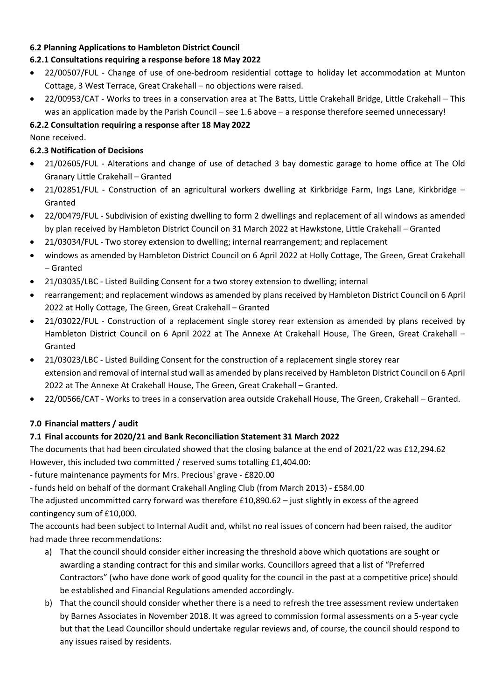# 6.2 Planning Applications to Hambleton District Council

# 6.2.1 Consultations requiring a response before 18 May 2022

- 22/00507/FUL Change of use of one-bedroom residential cottage to holiday let accommodation at Munton Cottage, 3 West Terrace, Great Crakehall – no objections were raised.
- 22/00953/CAT Works to trees in a conservation area at The Batts, Little Crakehall Bridge, Little Crakehall This was an application made by the Parish Council – see 1.6 above – a response therefore seemed unnecessary!

# 6.2.2 Consultation requiring a response after 18 May 2022

None received.

# 6.2.3 Notification of Decisions

- 21/02605/FUL Alterations and change of use of detached 3 bay domestic garage to home office at The Old Granary Little Crakehall – Granted
- 21/02851/FUL Construction of an agricultural workers dwelling at Kirkbridge Farm, Ings Lane, Kirkbridge Granted
- 22/00479/FUL Subdivision of existing dwelling to form 2 dwellings and replacement of all windows as amended by plan received by Hambleton District Council on 31 March 2022 at Hawkstone, Little Crakehall – Granted
- 21/03034/FUL Two storey extension to dwelling; internal rearrangement; and replacement
- windows as amended by Hambleton District Council on 6 April 2022 at Holly Cottage, The Green, Great Crakehall – Granted
- 21/03035/LBC Listed Building Consent for a two storey extension to dwelling; internal
- rearrangement; and replacement windows as amended by plans received by Hambleton District Council on 6 April 2022 at Holly Cottage, The Green, Great Crakehall – Granted
- 21/03022/FUL Construction of a replacement single storey rear extension as amended by plans received by Hambleton District Council on 6 April 2022 at The Annexe At Crakehall House, The Green, Great Crakehall – Granted
- 21/03023/LBC Listed Building Consent for the construction of a replacement single storey rear extension and removal of internal stud wall as amended by plans received by Hambleton District Council on 6 April 2022 at The Annexe At Crakehall House, The Green, Great Crakehall – Granted.
- 22/00566/CAT Works to trees in a conservation area outside Crakehall House, The Green, Crakehall Granted.

# 7.0 Financial matters / audit

# 7.1 Final accounts for 2020/21 and Bank Reconciliation Statement 31 March 2022

The documents that had been circulated showed that the closing balance at the end of 2021/22 was £12,294.62 However, this included two committed / reserved sums totalling £1,404.00:

- future maintenance payments for Mrs. Precious' grave - £820.00

- funds held on behalf of the dormant Crakehall Angling Club (from March 2013) - £584.00

The adjusted uncommitted carry forward was therefore £10,890.62 – just slightly in excess of the agreed contingency sum of £10,000.

The accounts had been subject to Internal Audit and, whilst no real issues of concern had been raised, the auditor had made three recommendations:

- a) That the council should consider either increasing the threshold above which quotations are sought or awarding a standing contract for this and similar works. Councillors agreed that a list of "Preferred Contractors" (who have done work of good quality for the council in the past at a competitive price) should be established and Financial Regulations amended accordingly.
- b) That the council should consider whether there is a need to refresh the tree assessment review undertaken by Barnes Associates in November 2018. It was agreed to commission formal assessments on a 5-year cycle but that the Lead Councillor should undertake regular reviews and, of course, the council should respond to any issues raised by residents.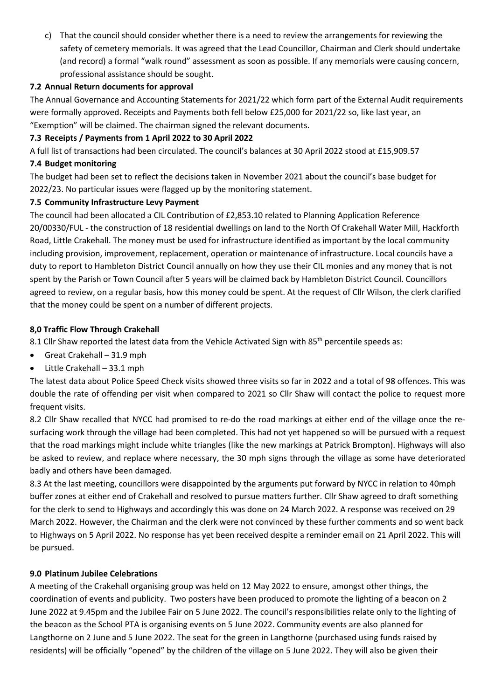c) That the council should consider whether there is a need to review the arrangements for reviewing the safety of cemetery memorials. It was agreed that the Lead Councillor, Chairman and Clerk should undertake (and record) a formal "walk round" assessment as soon as possible. If any memorials were causing concern, professional assistance should be sought.

## 7.2 Annual Return documents for approval

The Annual Governance and Accounting Statements for 2021/22 which form part of the External Audit requirements were formally approved. Receipts and Payments both fell below £25,000 for 2021/22 so, like last year, an "Exemption" will be claimed. The chairman signed the relevant documents.

## 7.3 Receipts / Payments from 1 April 2022 to 30 April 2022

A full list of transactions had been circulated. The council's balances at 30 April 2022 stood at £15,909.57

## 7.4 Budget monitoring

The budget had been set to reflect the decisions taken in November 2021 about the council's base budget for 2022/23. No particular issues were flagged up by the monitoring statement.

## 7.5 Community Infrastructure Levy Payment

The council had been allocated a CIL Contribution of £2,853.10 related to Planning Application Reference 20/00330/FUL - the construction of 18 residential dwellings on land to the North Of Crakehall Water Mill, Hackforth Road, Little Crakehall. The money must be used for infrastructure identified as important by the local community including provision, improvement, replacement, operation or maintenance of infrastructure. Local councils have a duty to report to Hambleton District Council annually on how they use their CIL monies and any money that is not spent by the Parish or Town Council after 5 years will be claimed back by Hambleton District Council. Councillors agreed to review, on a regular basis, how this money could be spent. At the request of Cllr Wilson, the clerk clarified that the money could be spent on a number of different projects.

# 8,0 Traffic Flow Through Crakehall

8.1 Cllr Shaw reported the latest data from the Vehicle Activated Sign with 85<sup>th</sup> percentile speeds as:

- Great Crakehall 31.9 mph
- Little Crakehall 33.1 mph

The latest data about Police Speed Check visits showed three visits so far in 2022 and a total of 98 offences. This was double the rate of offending per visit when compared to 2021 so Cllr Shaw will contact the police to request more frequent visits.

8.2 Cllr Shaw recalled that NYCC had promised to re-do the road markings at either end of the village once the resurfacing work through the village had been completed. This had not yet happened so will be pursued with a request that the road markings might include white triangles (like the new markings at Patrick Brompton). Highways will also be asked to review, and replace where necessary, the 30 mph signs through the village as some have deteriorated badly and others have been damaged.

8.3 At the last meeting, councillors were disappointed by the arguments put forward by NYCC in relation to 40mph buffer zones at either end of Crakehall and resolved to pursue matters further. Cllr Shaw agreed to draft something for the clerk to send to Highways and accordingly this was done on 24 March 2022. A response was received on 29 March 2022. However, the Chairman and the clerk were not convinced by these further comments and so went back to Highways on 5 April 2022. No response has yet been received despite a reminder email on 21 April 2022. This will be pursued.

## 9.0 Platinum Jubilee Celebrations

A meeting of the Crakehall organising group was held on 12 May 2022 to ensure, amongst other things, the coordination of events and publicity. Two posters have been produced to promote the lighting of a beacon on 2 June 2022 at 9.45pm and the Jubilee Fair on 5 June 2022. The council's responsibilities relate only to the lighting of the beacon as the School PTA is organising events on 5 June 2022. Community events are also planned for Langthorne on 2 June and 5 June 2022. The seat for the green in Langthorne (purchased using funds raised by residents) will be officially "opened" by the children of the village on 5 June 2022. They will also be given their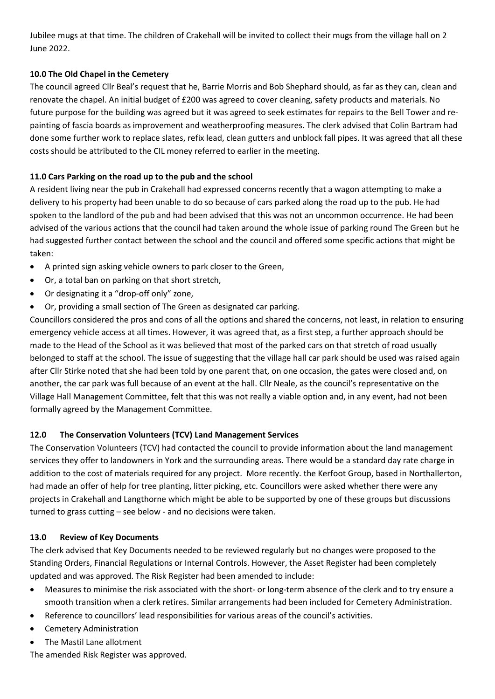Jubilee mugs at that time. The children of Crakehall will be invited to collect their mugs from the village hall on 2 June 2022.

# 10.0 The Old Chapel in the Cemetery

The council agreed Cllr Beal's request that he, Barrie Morris and Bob Shephard should, as far as they can, clean and renovate the chapel. An initial budget of £200 was agreed to cover cleaning, safety products and materials. No future purpose for the building was agreed but it was agreed to seek estimates for repairs to the Bell Tower and repainting of fascia boards as improvement and weatherproofing measures. The clerk advised that Colin Bartram had done some further work to replace slates, refix lead, clean gutters and unblock fall pipes. It was agreed that all these costs should be attributed to the CIL money referred to earlier in the meeting.

# 11.0 Cars Parking on the road up to the pub and the school

A resident living near the pub in Crakehall had expressed concerns recently that a wagon attempting to make a delivery to his property had been unable to do so because of cars parked along the road up to the pub. He had spoken to the landlord of the pub and had been advised that this was not an uncommon occurrence. He had been advised of the various actions that the council had taken around the whole issue of parking round The Green but he had suggested further contact between the school and the council and offered some specific actions that might be taken:

- A printed sign asking vehicle owners to park closer to the Green,
- Or, a total ban on parking on that short stretch,
- Or designating it a "drop-off only" zone,
- Or, providing a small section of The Green as designated car parking.

Councillors considered the pros and cons of all the options and shared the concerns, not least, in relation to ensuring emergency vehicle access at all times. However, it was agreed that, as a first step, a further approach should be made to the Head of the School as it was believed that most of the parked cars on that stretch of road usually belonged to staff at the school. The issue of suggesting that the village hall car park should be used was raised again after Cllr Stirke noted that she had been told by one parent that, on one occasion, the gates were closed and, on another, the car park was full because of an event at the hall. Cllr Neale, as the council's representative on the Village Hall Management Committee, felt that this was not really a viable option and, in any event, had not been formally agreed by the Management Committee.

# 12.0 The Conservation Volunteers (TCV) Land Management Services

The Conservation Volunteers (TCV) had contacted the council to provide information about the land management services they offer to landowners in York and the surrounding areas. There would be a standard day rate charge in addition to the cost of materials required for any project. More recently. the Kerfoot Group, based in Northallerton, had made an offer of help for tree planting, litter picking, etc. Councillors were asked whether there were any projects in Crakehall and Langthorne which might be able to be supported by one of these groups but discussions turned to grass cutting – see below - and no decisions were taken.

# 13.0 Review of Key Documents

The clerk advised that Key Documents needed to be reviewed regularly but no changes were proposed to the Standing Orders, Financial Regulations or Internal Controls. However, the Asset Register had been completely updated and was approved. The Risk Register had been amended to include:

- Measures to minimise the risk associated with the short- or long-term absence of the clerk and to try ensure a smooth transition when a clerk retires. Similar arrangements had been included for Cemetery Administration.
- Reference to councillors' lead responsibilities for various areas of the council's activities.
- Cemetery Administration
- The Mastil Lane allotment

The amended Risk Register was approved.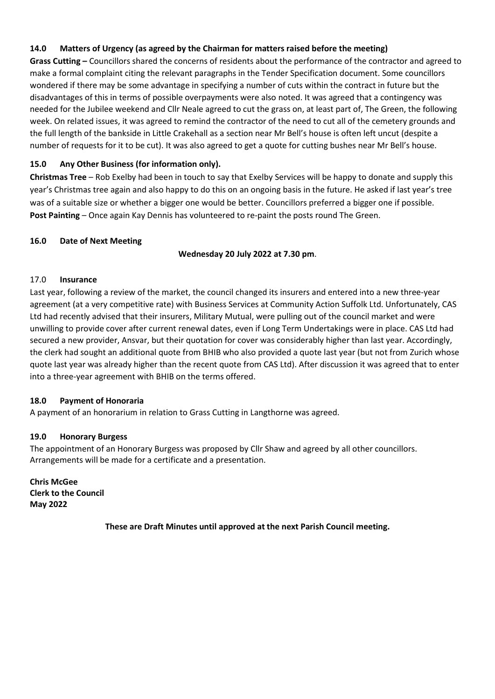# 14.0 Matters of Urgency (as agreed by the Chairman for matters raised before the meeting)

Grass Cutting – Councillors shared the concerns of residents about the performance of the contractor and agreed to make a formal complaint citing the relevant paragraphs in the Tender Specification document. Some councillors wondered if there may be some advantage in specifying a number of cuts within the contract in future but the disadvantages of this in terms of possible overpayments were also noted. It was agreed that a contingency was needed for the Jubilee weekend and Cllr Neale agreed to cut the grass on, at least part of, The Green, the following week. On related issues, it was agreed to remind the contractor of the need to cut all of the cemetery grounds and the full length of the bankside in Little Crakehall as a section near Mr Bell's house is often left uncut (despite a number of requests for it to be cut). It was also agreed to get a quote for cutting bushes near Mr Bell's house.

# 15.0 Any Other Business (for information only).

Christmas Tree – Rob Exelby had been in touch to say that Exelby Services will be happy to donate and supply this year's Christmas tree again and also happy to do this on an ongoing basis in the future. He asked if last year's tree was of a suitable size or whether a bigger one would be better. Councillors preferred a bigger one if possible. Post Painting – Once again Kay Dennis has volunteered to re-paint the posts round The Green.

#### 16.0 Date of Next Meeting

#### Wednesday 20 July 2022 at 7.30 pm.

#### 17.0 Insurance

Last year, following a review of the market, the council changed its insurers and entered into a new three-year agreement (at a very competitive rate) with Business Services at Community Action Suffolk Ltd. Unfortunately, CAS Ltd had recently advised that their insurers, Military Mutual, were pulling out of the council market and were unwilling to provide cover after current renewal dates, even if Long Term Undertakings were in place. CAS Ltd had secured a new provider, Ansvar, but their quotation for cover was considerably higher than last year. Accordingly, the clerk had sought an additional quote from BHIB who also provided a quote last year (but not from Zurich whose quote last year was already higher than the recent quote from CAS Ltd). After discussion it was agreed that to enter into a three-year agreement with BHIB on the terms offered.

#### 18.0 Payment of Honoraria

A payment of an honorarium in relation to Grass Cutting in Langthorne was agreed.

## 19.0 Honorary Burgess

The appointment of an Honorary Burgess was proposed by Cllr Shaw and agreed by all other councillors. Arrangements will be made for a certificate and a presentation.

Chris McGee Clerk to the Council May 2022

These are Draft Minutes until approved at the next Parish Council meeting.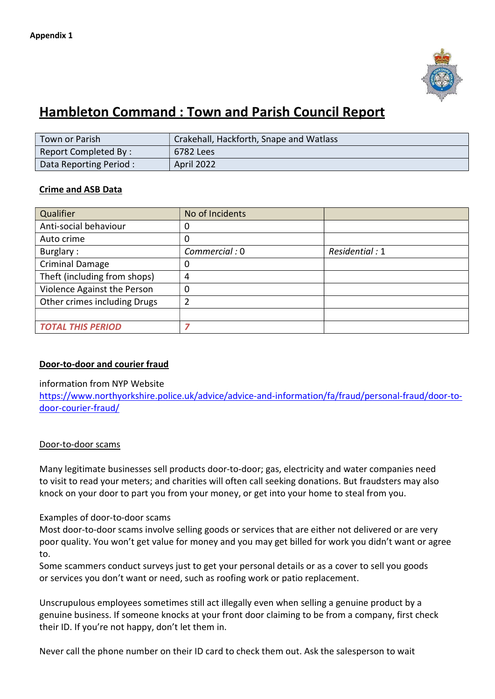

# Hambleton Command : Town and Parish Council Report

| Town or Parish         | Crakehall, Hackforth, Snape and Watlass |
|------------------------|-----------------------------------------|
| Report Completed By:   | 6782 Lees                               |
| Data Reporting Period: | April 2022                              |

# Crime and ASB Data

| Qualifier                    | No of Incidents |                |
|------------------------------|-----------------|----------------|
| Anti-social behaviour        | 0               |                |
| Auto crime                   | 0               |                |
| Burglary:                    | Commercial: 0   | Residential: 1 |
| <b>Criminal Damage</b>       | 0               |                |
| Theft (including from shops) | 4               |                |
| Violence Against the Person  | 0               |                |
| Other crimes including Drugs | 2               |                |
|                              |                 |                |
| <b>TOTAL THIS PERIOD</b>     | 7               |                |

# Door-to-door and courier fraud

## information from NYP Website

https://www.northyorkshire.police.uk/advice/advice-and-information/fa/fraud/personal-fraud/door-todoor-courier-fraud/

## Door-to-door scams

Many legitimate businesses sell products door-to-door; gas, electricity and water companies need to visit to read your meters; and charities will often call seeking donations. But fraudsters may also knock on your door to part you from your money, or get into your home to steal from you.

## Examples of door-to-door scams

Most door-to-door scams involve selling goods or services that are either not delivered or are very poor quality. You won't get value for money and you may get billed for work you didn't want or agree to.

Some scammers conduct surveys just to get your personal details or as a cover to sell you goods or services you don't want or need, such as roofing work or patio replacement.

Unscrupulous employees sometimes still act illegally even when selling a genuine product by a genuine business. If someone knocks at your front door claiming to be from a company, first check their ID. If you're not happy, don't let them in.

Never call the phone number on their ID card to check them out. Ask the salesperson to wait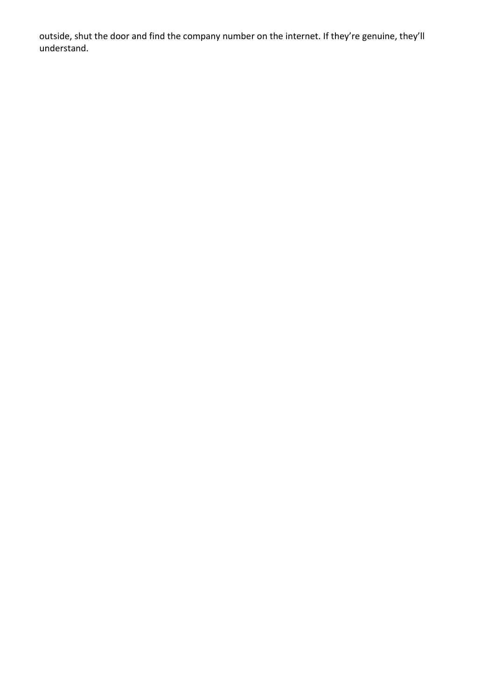outside, shut the door and find the company number on the internet. If they're genuine, they'll understand.